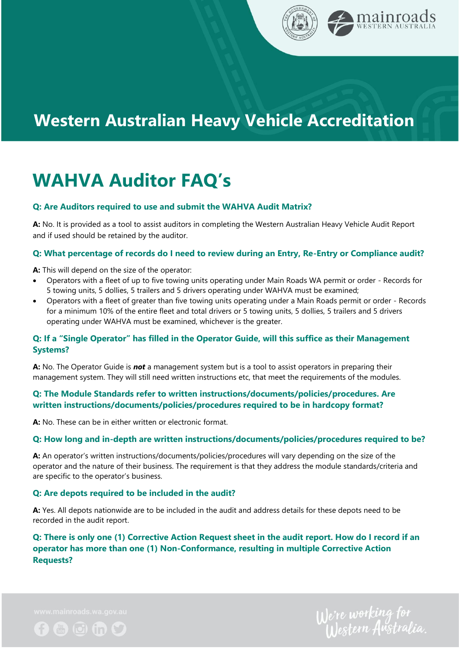

## **Western Australian Heavy Vehicle Accreditation**

# **WAHVA Auditor FAQ's**

#### **Q: Are Auditors required to use and submit the WAHVA Audit Matrix?**

**A:** No. It is provided as a tool to assist auditors in completing the Western Australian Heavy Vehicle Audit Report and if used should be retained by the auditor.

#### **Q: What percentage of records do I need to review during an Entry, Re-Entry or Compliance audit?**

**A:** This will depend on the size of the operator:

- Operators with a fleet of up to five towing units operating under Main Roads WA permit or order Records for 5 towing units, 5 dollies, 5 trailers and 5 drivers operating under WAHVA must be examined;
- Operators with a fleet of greater than five towing units operating under a Main Roads permit or order Records for a minimum 10% of the entire fleet and total drivers or 5 towing units, 5 dollies, 5 trailers and 5 drivers operating under WAHVA must be examined, whichever is the greater.

## **Q: If a "Single Operator" has filled in the Operator Guide, will this suffice as their Management Systems?**

**A:** No. The Operator Guide is *not* a management system but is a tool to assist operators in preparing their management system. They will still need written instructions etc, that meet the requirements of the modules.

#### **Q: The Module Standards refer to written instructions/documents/policies/procedures. Are written instructions/documents/policies/procedures required to be in hardcopy format?**

**A:** No. These can be in either written or electronic format.

#### **Q: How long and in-depth are written instructions/documents/policies/procedures required to be?**

**A:** An operator's written instructions/documents/policies/procedures will vary depending on the size of the operator and the nature of their business. The requirement is that they address the module standards/criteria and are specific to the operator's business.

#### **Q: Are depots required to be included in the audit?**

**A:** Yes. All depots nationwide are to be included in the audit and address details for these depots need to be recorded in the audit report.

## **Q: There is only one (1) Corrective Action Request sheet in the audit report. How do I record if an operator has more than one (1) Non-Conformance, resulting in multiple Corrective Action Requests?**



We're working for<br>Western Australia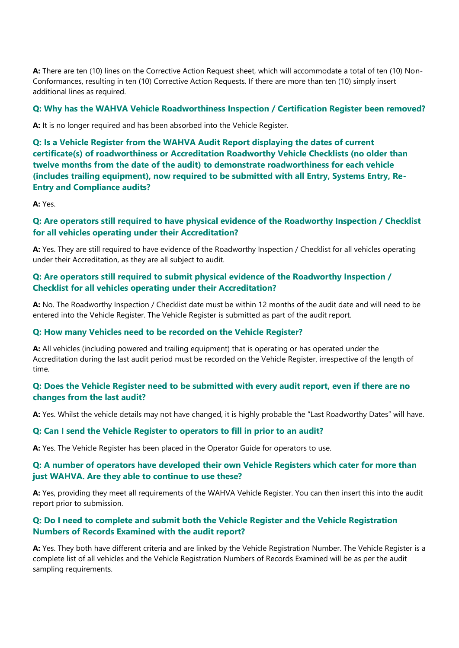**A:** There are ten (10) lines on the Corrective Action Request sheet, which will accommodate a total of ten (10) Non-Conformances, resulting in ten (10) Corrective Action Requests. If there are more than ten (10) simply insert additional lines as required.

#### **Q: Why has the WAHVA Vehicle Roadworthiness Inspection / Certification Register been removed?**

**A:** It is no longer required and has been absorbed into the Vehicle Register.

**Q: Is a Vehicle Register from the WAHVA Audit Report displaying the dates of current certificate(s) of roadworthiness or Accreditation Roadworthy Vehicle Checklists (no older than twelve months from the date of the audit) to demonstrate roadworthiness for each vehicle (includes trailing equipment), now required to be submitted with all Entry, Systems Entry, Re-Entry and Compliance audits?**

**A:** Yes.

## **Q: Are operators still required to have physical evidence of the Roadworthy Inspection / Checklist for all vehicles operating under their Accreditation?**

**A:** Yes. They are still required to have evidence of the Roadworthy Inspection / Checklist for all vehicles operating under their Accreditation, as they are all subject to audit.

## **Q: Are operators still required to submit physical evidence of the Roadworthy Inspection / Checklist for all vehicles operating under their Accreditation?**

**A:** No. The Roadworthy Inspection / Checklist date must be within 12 months of the audit date and will need to be entered into the Vehicle Register. The Vehicle Register is submitted as part of the audit report.

#### **Q: How many Vehicles need to be recorded on the Vehicle Register?**

**A:** All vehicles (including powered and trailing equipment) that is operating or has operated under the Accreditation during the last audit period must be recorded on the Vehicle Register, irrespective of the length of time.

## **Q: Does the Vehicle Register need to be submitted with every audit report, even if there are no changes from the last audit?**

**A:** Yes. Whilst the vehicle details may not have changed, it is highly probable the "Last Roadworthy Dates" will have.

#### **Q: Can I send the Vehicle Register to operators to fill in prior to an audit?**

**A:** Yes. The Vehicle Register has been placed in the Operator Guide for operators to use.

#### **Q: A number of operators have developed their own Vehicle Registers which cater for more than just WAHVA. Are they able to continue to use these?**

**A:** Yes, providing they meet all requirements of the WAHVA Vehicle Register. You can then insert this into the audit report prior to submission.

#### **Q: Do I need to complete and submit both the Vehicle Register and the Vehicle Registration Numbers of Records Examined with the audit report?**

**A:** Yes. They both have different criteria and are linked by the Vehicle Registration Number. The Vehicle Register is a complete list of all vehicles and the Vehicle Registration Numbers of Records Examined will be as per the audit sampling requirements.